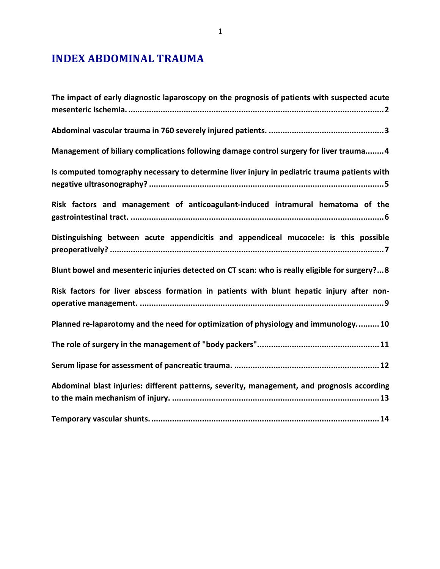# **INDEX ABDOMINAL TRAUMA**

| The impact of early diagnostic laparoscopy on the prognosis of patients with suspected acute  |
|-----------------------------------------------------------------------------------------------|
|                                                                                               |
| Management of biliary complications following damage control surgery for liver trauma 4       |
| Is computed tomography necessary to determine liver injury in pediatric trauma patients with  |
| Risk factors and management of anticoagulant-induced intramural hematoma of the               |
| Distinguishing between acute appendicitis and appendiceal mucocele: is this possible          |
| Blunt bowel and mesenteric injuries detected on CT scan: who is really eligible for surgery?8 |
| Risk factors for liver abscess formation in patients with blunt hepatic injury after non-     |
| Planned re-laparotomy and the need for optimization of physiology and immunology 10           |
|                                                                                               |
|                                                                                               |
| Abdominal blast injuries: different patterns, severity, management, and prognosis according   |
|                                                                                               |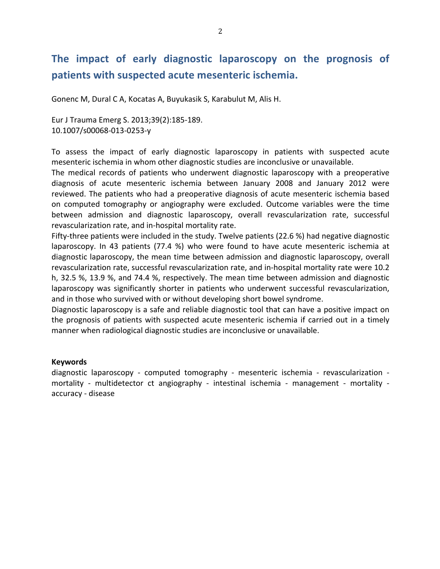# The impact of early diagnostic laparoscopy on the prognosis of patients with suspected acute mesenteric ischemia.

Gonenc M, Dural C A, Kocatas A, Buyukasik S, Karabulut M, Alis H.

Eur J Trauma Emerg S. 2013;39(2):185-189. 10.1007/s00068-013-0253-y

To assess the impact of early diagnostic laparoscopy in patients with suspected acute mesenteric ischemia in whom other diagnostic studies are inconclusive or unavailable.

The medical records of patients who underwent diagnostic laparoscopy with a preoperative diagnosis of acute mesenteric ischemia between January 2008 and January 2012 were reviewed. The patients who had a preoperative diagnosis of acute mesenteric ischemia based on computed tomography or angiography were excluded. Outcome variables were the time between admission and diagnostic laparoscopy, overall revascularization rate, successful revascularization rate, and in-hospital mortality rate.

Fifty-three patients were included in the study. Twelve patients  $(22.6 %)$  had negative diagnostic laparoscopy. In 43 patients (77.4 %) who were found to have acute mesenteric ischemia at diagnostic laparoscopy, the mean time between admission and diagnostic laparoscopy, overall revascularization rate, successful revascularization rate, and in-hospital mortality rate were 10.2 h, 32.5 %, 13.9 %, and 74.4 %, respectively. The mean time between admission and diagnostic laparoscopy was significantly shorter in patients who underwent successful revascularization, and in those who survived with or without developing short bowel syndrome.

Diagnostic laparoscopy is a safe and reliable diagnostic tool that can have a positive impact on the prognosis of patients with suspected acute mesenteric ischemia if carried out in a timely manner when radiological diagnostic studies are inconclusive or unavailable.

#### **Keywords**

diagnostic laparoscopy - computed tomography - mesenteric ischemia - revascularization mortality - multidetector ct angiography - intestinal ischemia - management - mortality accuracy - disease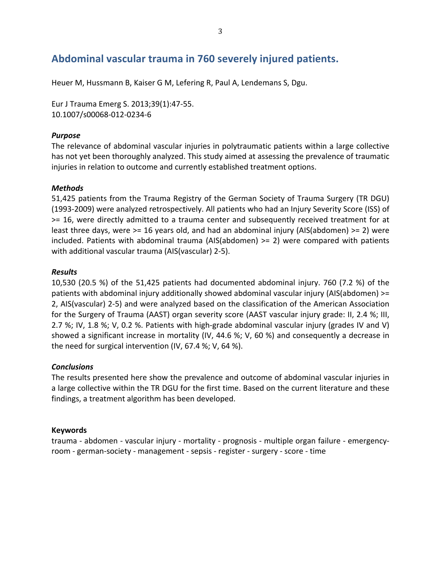## Abdominal vascular trauma in 760 severely injured patients.

Heuer M, Hussmann B, Kaiser G M, Lefering R, Paul A, Lendemans S, Dgu.

Eur J Trauma Emerg S. 2013;39(1):47-55. 10.1007/s00068-012-0234-6

### *Purpose*

The relevance of abdominal vascular injuries in polytraumatic patients within a large collective has not yet been thoroughly analyzed. This study aimed at assessing the prevalence of traumatic injuries in relation to outcome and currently established treatment options.

### *Methods*

51,425 patients from the Trauma Registry of the German Society of Trauma Surgery (TR DGU) (1993-2009) were analyzed retrospectively. All patients who had an Injury Severity Score (ISS) of  $>= 16$ , were directly admitted to a trauma center and subsequently received treatment for at least three days, were  $>= 16$  years old, and had an abdominal injury (AIS(abdomen)  $>= 2$ ) were included. Patients with abdominal trauma (AIS(abdomen)  $>= 2$ ) were compared with patients with additional vascular trauma (AIS(vascular) 2-5).

### *Results*

10,530 (20.5 %) of the  $51,425$  patients had documented abdominal injury. 760 (7.2 %) of the patients with abdominal injury additionally showed abdominal vascular injury (AIS(abdomen)  $>=$ 2, AIS(vascular) 2-5) and were analyzed based on the classification of the American Association for the Surgery of Trauma (AAST) organ severity score (AAST vascular injury grade: II, 2.4 %; III, 2.7 %; IV, 1.8 %; V, 0.2 %. Patients with high-grade abdominal vascular injury (grades IV and V) showed a significant increase in mortality (IV, 44.6 %; V, 60 %) and consequently a decrease in the need for surgical intervention (IV, 67.4 %; V, 64 %).

### *Conclusions*

The results presented here show the prevalence and outcome of abdominal vascular injuries in a large collective within the TR DGU for the first time. Based on the current literature and these findings, a treatment algorithm has been developed.

### **Keywords**

trauma - abdomen - vascular injury - mortality - prognosis - multiple organ failure - emergencyroom - german-society - management - sepsis - register - surgery - score - time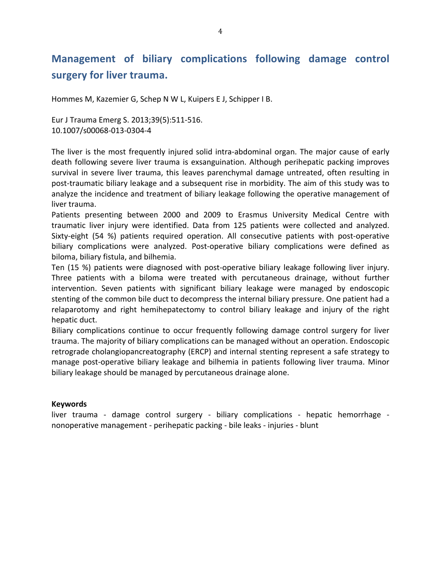# **Management of biliary complications following damage control** surgery for liver trauma.

Hommes M, Kazemier G, Schep N W L, Kuipers E J, Schipper I B.

Eur J Trauma Emerg S. 2013;39(5):511-516. 10.1007/s00068-013-0304-4

The liver is the most frequently injured solid intra-abdominal organ. The major cause of early death following severe liver trauma is exsanguination. Although perihepatic packing improves survival in severe liver trauma, this leaves parenchymal damage untreated, often resulting in post-traumatic biliary leakage and a subsequent rise in morbidity. The aim of this study was to analyze the incidence and treatment of biliary leakage following the operative management of liver trauma.

Patients presenting between 2000 and 2009 to Erasmus University Medical Centre with traumatic liver injury were identified. Data from 125 patients were collected and analyzed. Sixty-eight (54 %) patients required operation. All consecutive patients with post-operative biliary complications were analyzed. Post-operative biliary complications were defined as biloma, biliary fistula, and bilhemia.

Ten (15 %) patients were diagnosed with post-operative biliary leakage following liver injury. Three patients with a biloma were treated with percutaneous drainage, without further intervention. Seven patients with significant biliary leakage were managed by endoscopic stenting of the common bile duct to decompress the internal biliary pressure. One patient had a relaparotomy and right hemihepatectomy to control biliary leakage and injury of the right hepatic duct.

Biliary complications continue to occur frequently following damage control surgery for liver trauma. The majority of biliary complications can be managed without an operation. Endoscopic retrograde cholangiopancreatography (ERCP) and internal stenting represent a safe strategy to manage post-operative biliary leakage and bilhemia in patients following liver trauma. Minor biliary leakage should be managed by percutaneous drainage alone.

### **Keywords**

liver trauma - damage control surgery - biliary complications - hepatic hemorrhage nonoperative management - perihepatic packing - bile leaks - injuries - blunt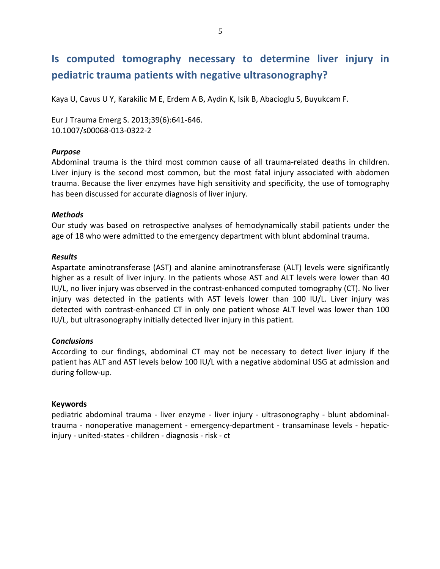# **Is computed tomography necessary to determine liver injury in pediatric trauma patients with negative ultrasonography?**

Kaya U, Cavus U Y, Karakilic M E, Erdem A B, Aydin K, Isik B, Abacioglu S, Buyukcam F.

Eur J Trauma Emerg S. 2013;39(6):641-646. 10.1007/s00068-013-0322-2

### *Purpose*

Abdominal trauma is the third most common cause of all trauma-related deaths in children. Liver injury is the second most common, but the most fatal injury associated with abdomen trauma. Because the liver enzymes have high sensitivity and specificity, the use of tomography has been discussed for accurate diagnosis of liver injury.

### *Methods*

Our study was based on retrospective analyses of hemodynamically stabil patients under the age of 18 who were admitted to the emergency department with blunt abdominal trauma.

### *Results*

Aspartate aminotransferase (AST) and alanine aminotransferase (ALT) levels were significantly higher as a result of liver injury. In the patients whose AST and ALT levels were lower than 40 IU/L, no liver injury was observed in the contrast-enhanced computed tomography (CT). No liver injury was detected in the patients with AST levels lower than 100 IU/L. Liver injury was detected with contrast-enhanced CT in only one patient whose ALT level was lower than 100 IU/L, but ultrasonography initially detected liver injury in this patient.

### *Conclusions*

According to our findings, abdominal CT may not be necessary to detect liver injury if the patient has ALT and AST levels below 100 IU/L with a negative abdominal USG at admission and during follow-up.

### **Keywords**

pediatric abdominal trauma - liver enzyme - liver injury - ultrasonography - blunt abdominaltrauma - nonoperative management - emergency-department - transaminase levels - hepaticinjury - united-states - children - diagnosis - risk - ct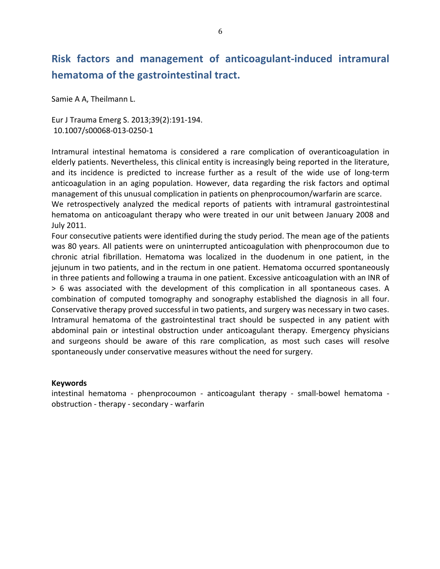# **Risk factors and management of anticoagulant-induced intramural hematoma of the gastrointestinal tract.**

Samie A A, Theilmann L.

Eur J Trauma Emerg S. 2013;39(2):191-194. 10.1007/s00068-013-0250-1

Intramural intestinal hematoma is considered a rare complication of overanticoagulation in elderly patients. Nevertheless, this clinical entity is increasingly being reported in the literature, and its incidence is predicted to increase further as a result of the wide use of long-term anticoagulation in an aging population. However, data regarding the risk factors and optimal management of this unusual complication in patients on phenprocoumon/warfarin are scarce. We retrospectively analyzed the medical reports of patients with intramural gastrointestinal hematoma on anticoagulant therapy who were treated in our unit between January 2008 and July 2011.

Four consecutive patients were identified during the study period. The mean age of the patients was 80 years. All patients were on uninterrupted anticoagulation with phenprocoumon due to chronic atrial fibrillation. Hematoma was localized in the duodenum in one patient, in the jejunum in two patients, and in the rectum in one patient. Hematoma occurred spontaneously in three patients and following a trauma in one patient. Excessive anticoagulation with an INR of  $> 6$  was associated with the development of this complication in all spontaneous cases. A combination of computed tomography and sonography established the diagnosis in all four. Conservative therapy proved successful in two patients, and surgery was necessary in two cases. Intramural hematoma of the gastrointestinal tract should be suspected in any patient with abdominal pain or intestinal obstruction under anticoagulant therapy. Emergency physicians and surgeons should be aware of this rare complication, as most such cases will resolve spontaneously under conservative measures without the need for surgery.

### **Keywords**

intestinal hematoma - phenprocoumon - anticoagulant therapy - small-bowel hematoma obstruction - therapy - secondary - warfarin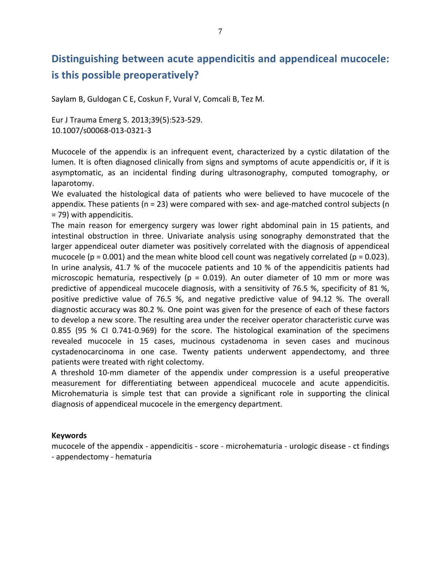# **Distinguishing between acute appendicitis and appendiceal mucocele: is this possible preoperatively?**

Saylam B, Guldogan C E, Coskun F, Vural V, Comcali B, Tez M.

Eur J Trauma Emerg S. 2013;39(5):523-529. 10.1007/s00068-013-0321-3

Mucocele of the appendix is an infrequent event, characterized by a cystic dilatation of the lumen. It is often diagnosed clinically from signs and symptoms of acute appendicitis or, if it is asymptomatic, as an incidental finding during ultrasonography, computed tomography, or laparotomy.

We evaluated the histological data of patients who were believed to have mucocele of the appendix. These patients  $(n = 23)$  were compared with sex- and age-matched control subjects  $(n = 12)$ = 79) with appendicitis.

The main reason for emergency surgery was lower right abdominal pain in 15 patients, and intestinal obstruction in three. Univariate analysis using sonography demonstrated that the larger appendiceal outer diameter was positively correlated with the diagnosis of appendiceal mucocele ( $p = 0.001$ ) and the mean white blood cell count was negatively correlated ( $p = 0.023$ ). In urine analysis, 41.7 % of the mucocele patients and 10 % of the appendicitis patients had microscopic hematuria, respectively ( $p = 0.019$ ). An outer diameter of 10 mm or more was predictive of appendiceal mucocele diagnosis, with a sensitivity of 76.5 %, specificity of 81 %, positive predictive value of 76.5 %, and negative predictive value of 94.12 %. The overall diagnostic accuracy was 80.2 %. One point was given for the presence of each of these factors to develop a new score. The resulting area under the receiver operator characteristic curve was 0.855 (95 % CI 0.741-0.969) for the score. The histological examination of the specimens revealed mucocele in 15 cases, mucinous cystadenoma in seven cases and mucinous cystadenocarcinoma in one case. Twenty patients underwent appendectomy, and three patients were treated with right colectomy.

A threshold 10-mm diameter of the appendix under compression is a useful preoperative measurement for differentiating between appendiceal mucocele and acute appendicitis. Microhematuria is simple test that can provide a significant role in supporting the clinical diagnosis of appendiceal mucocele in the emergency department.

### **Keywords**

mucocele of the appendix - appendicitis - score - microhematuria - urologic disease - ct findings - appendectomy - hematuria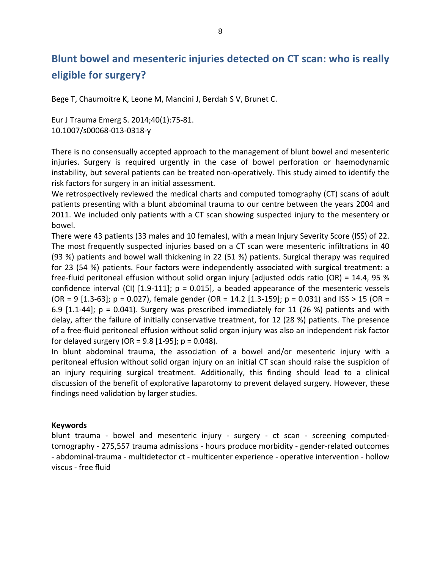# **Blunt bowel and mesenteric injuries detected on CT scan: who is really eligible for surgery?**

Bege T, Chaumoitre K, Leone M, Mancini J, Berdah S V, Brunet C.

Eur J Trauma Emerg S. 2014;40(1):75-81. 10.1007/s00068-013-0318-y

There is no consensually accepted approach to the management of blunt bowel and mesenteric injuries. Surgery is required urgently in the case of bowel perforation or haemodynamic instability, but several patients can be treated non-operatively. This study aimed to identify the risk factors for surgery in an initial assessment.

We retrospectively reviewed the medical charts and computed tomography (CT) scans of adult patients presenting with a blunt abdominal trauma to our centre between the years 2004 and 2011. We included only patients with a CT scan showing suspected injury to the mesentery or bowel.

There were 43 patients (33 males and 10 females), with a mean Injury Severity Score (ISS) of 22. The most frequently suspected injuries based on a CT scan were mesenteric infiltrations in 40 (93 %) patients and bowel wall thickening in 22 (51 %) patients. Surgical therapy was required for 23 (54 %) patients. Four factors were independently associated with surgical treatment: a free-fluid peritoneal effusion without solid organ injury [adjusted odds ratio (OR) = 14.4, 95 % confidence interval (CI)  $[1.9-111]$ ;  $p = 0.015$ ], a beaded appearance of the mesenteric vessels  $(OR = 9 [1.3-63]; p = 0.027)$ , female gender  $(OR = 14.2 [1.3-159]; p = 0.031)$  and  $ISS > 15 (OR = 14.2)$ 6.9  $[1.1-44]$ ;  $p = 0.041$ ). Surgery was prescribed immediately for 11 (26 %) patients and with delay, after the failure of initially conservative treatment, for 12 (28 %) patients. The presence of a free-fluid peritoneal effusion without solid organ injury was also an independent risk factor for delayed surgery (OR =  $9.8$  [1-95];  $p = 0.048$ ).

In blunt abdominal trauma, the association of a bowel and/or mesenteric injury with a peritoneal effusion without solid organ injury on an initial CT scan should raise the suspicion of an injury requiring surgical treatment. Additionally, this finding should lead to a clinical discussion of the benefit of explorative laparotomy to prevent delayed surgery. However, these findings need validation by larger studies.

### **Keywords**

blunt trauma - bowel and mesenteric injury - surgery - ct scan - screening computedtomography - 275,557 trauma admissions - hours produce morbidity - gender-related outcomes - abdominal-trauma - multidetector ct - multicenter experience - operative intervention - hollow viscus - free fluid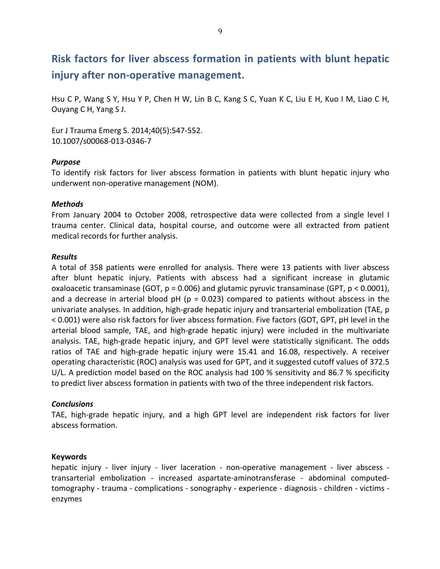# **Risk factors for liver abscess formation in patients with blunt hepatic injury after non-operative management.**

Hsu C P, Wang S Y, Hsu Y P, Chen H W, Lin B C, Kang S C, Yuan K C, Liu E H, Kuo I M, Liao C H, Ouyang C H, Yang S J.

Eur J Trauma Emerg S. 2014;40(5):547-552. 10.1007/s00068-013-0346-7

### *Purpose*

To identify risk factors for liver abscess formation in patients with blunt hepatic injury who underwent non-operative management (NOM).

### *Methods*

From January 2004 to October 2008, retrospective data were collected from a single level I trauma center. Clinical data, hospital course, and outcome were all extracted from patient medical records for further analysis.

### *Results*

A total of 358 patients were enrolled for analysis. There were 13 patients with liver abscess after blunt hepatic injury. Patients with abscess had a significant increase in glutamic oxaloacetic transaminase (GOT,  $p = 0.006$ ) and glutamic pyruvic transaminase (GPT,  $p < 0.0001$ ), and a decrease in arterial blood  $pH$  ( $p = 0.023$ ) compared to patients without abscess in the univariate analyses. In addition, high-grade hepatic injury and transarterial embolization (TAE, p < 0.001) were also risk factors for liver abscess formation. Five factors (GOT, GPT, pH level in the arterial blood sample, TAE, and high-grade hepatic injury) were included in the multivariate analysis. TAE, high-grade hepatic injury, and GPT level were statistically significant. The odds ratios of TAE and high-grade hepatic injury were 15.41 and 16.08, respectively. A receiver operating characteristic (ROC) analysis was used for GPT, and it suggested cutoff values of 372.5  $U/L$ . A prediction model based on the ROC analysis had 100 % sensitivity and 86.7 % specificity to predict liver abscess formation in patients with two of the three independent risk factors.

### *Conclusions*

TAE, high-grade hepatic injury, and a high GPT level are independent risk factors for liver abscess formation.

### **Keywords**

hepatic injury - liver injury - liver laceration - non-operative management - liver abscess transarterial embolization - increased aspartate-aminotransferase - abdominal computedtomography - trauma - complications - sonography - experience - diagnosis - children - victims enzymes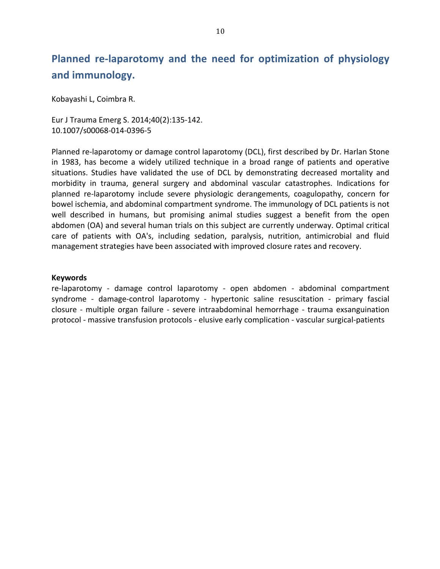# **Planned re-laparotomy and the need for optimization of physiology** and immunology.

Kobayashi L, Coimbra R.

Eur J Trauma Emerg S. 2014;40(2):135-142. 10.1007/s00068-014-0396-5

Planned re-laparotomy or damage control laparotomy (DCL), first described by Dr. Harlan Stone in 1983, has become a widely utilized technique in a broad range of patients and operative situations. Studies have validated the use of DCL by demonstrating decreased mortality and morbidity in trauma, general surgery and abdominal vascular catastrophes. Indications for planned re-laparotomy include severe physiologic derangements, coagulopathy, concern for bowel ischemia, and abdominal compartment syndrome. The immunology of DCL patients is not well described in humans, but promising animal studies suggest a benefit from the open abdomen (OA) and several human trials on this subject are currently underway. Optimal critical care of patients with OA's, including sedation, paralysis, nutrition, antimicrobial and fluid management strategies have been associated with improved closure rates and recovery.

#### **Keywords**

re-laparotomy - damage control laparotomy - open abdomen - abdominal compartment syndrome - damage-control laparotomy - hypertonic saline resuscitation - primary fascial closure - multiple organ failure - severe intraabdominal hemorrhage - trauma exsanguination protocol - massive transfusion protocols - elusive early complication - vascular surgical-patients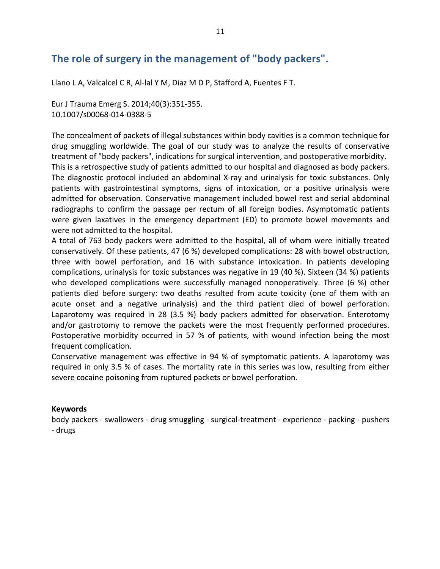## The role of surgery in the management of "body packers".

Llano L A, Valcalcel C R, Al-lal Y M, Diaz M D P, Stafford A, Fuentes F T.

Eur J Trauma Emerg S. 2014;40(3):351-355. 10.1007/s00068-014-0388-5

The concealment of packets of illegal substances within body cavities is a common technique for drug smuggling worldwide. The goal of our study was to analyze the results of conservative treatment of "body packers", indications for surgical intervention, and postoperative morbidity. This is a retrospective study of patients admitted to our hospital and diagnosed as body packers. The diagnostic protocol included an abdominal X-ray and urinalysis for toxic substances. Only patients with gastrointestinal symptoms, signs of intoxication, or a positive urinalysis were admitted for observation. Conservative management included bowel rest and serial abdominal radiographs to confirm the passage per rectum of all foreign bodies. Asymptomatic patients were given laxatives in the emergency department (ED) to promote bowel movements and were not admitted to the hospital.

A total of 763 body packers were admitted to the hospital, all of whom were initially treated conservatively. Of these patients, 47 (6 %) developed complications: 28 with bowel obstruction, three with bowel perforation, and 16 with substance intoxication. In patients developing complications, urinalysis for toxic substances was negative in 19 (40 %). Sixteen (34 %) patients who developed complications were successfully managed nonoperatively. Three  $(6\%)$  other patients died before surgery: two deaths resulted from acute toxicity (one of them with an acute onset and a negative urinalysis) and the third patient died of bowel perforation. Laparotomy was required in 28 (3.5 %) body packers admitted for observation. Enterotomy and/or gastrotomy to remove the packets were the most frequently performed procedures. Postoperative morbidity occurred in 57 % of patients, with wound infection being the most frequent complication.

Conservative management was effective in 94 % of symptomatic patients. A laparotomy was required in only 3.5 % of cases. The mortality rate in this series was low, resulting from either severe cocaine poisoning from ruptured packets or bowel perforation.

### **Keywords**

body packers - swallowers - drug smuggling - surgical-treatment - experience - packing - pushers - drugs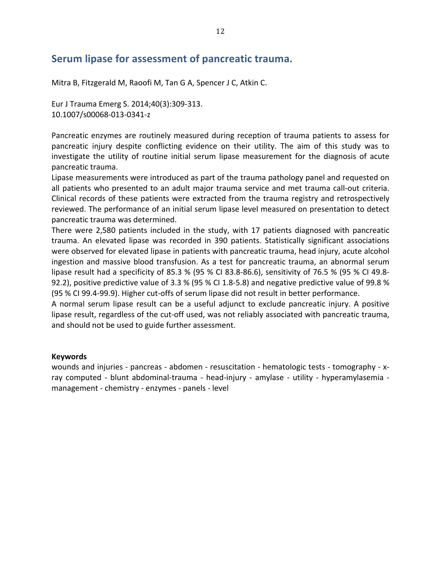### **Serum lipase for assessment of pancreatic trauma.**

Mitra B, Fitzgerald M, Raoofi M, Tan G A, Spencer J C, Atkin C.

Eur J Trauma Emerg S. 2014;40(3):309-313. 10.1007/s00068-013-0341-z

Pancreatic enzymes are routinely measured during reception of trauma patients to assess for pancreatic injury despite conflicting evidence on their utility. The aim of this study was to investigate the utility of routine initial serum lipase measurement for the diagnosis of acute pancreatic trauma.

Lipase measurements were introduced as part of the trauma pathology panel and requested on all patients who presented to an adult major trauma service and met trauma call-out criteria. Clinical records of these patients were extracted from the trauma registry and retrospectively reviewed. The performance of an initial serum lipase level measured on presentation to detect pancreatic trauma was determined.

There were 2,580 patients included in the study, with 17 patients diagnosed with pancreatic trauma. An elevated lipase was recorded in 390 patients. Statistically significant associations were observed for elevated lipase in patients with pancreatic trauma, head injury, acute alcohol ingestion and massive blood transfusion. As a test for pancreatic trauma, an abnormal serum lipase result had a specificity of 85.3 % (95 % CI 83.8-86.6), sensitivity of 76.5 % (95 % CI 49.8-92.2), positive predictive value of 3.3 % (95 % CI 1.8-5.8) and negative predictive value of 99.8 % (95 % CI 99.4-99.9). Higher cut-offs of serum lipase did not result in better performance.

A normal serum lipase result can be a useful adjunct to exclude pancreatic injury. A positive lipase result, regardless of the cut-off used, was not reliably associated with pancreatic trauma, and should not be used to guide further assessment.

### **Keywords**

wounds and injuries - pancreas - abdomen - resuscitation - hematologic tests - tomography - xray computed - blunt abdominal-trauma - head-injury - amylase - utility - hyperamylasemia management - chemistry - enzymes - panels - level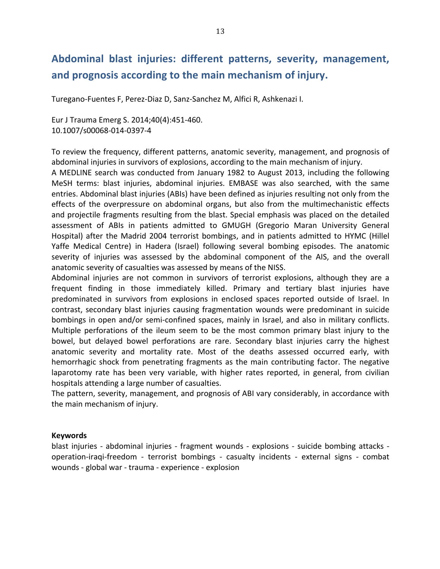## Abdominal blast injuries: different patterns, severity, management, and prognosis according to the main mechanism of injury.

Turegano-Fuentes F, Perez-Diaz D, Sanz-Sanchez M, Alfici R, Ashkenazi I.

Eur J Trauma Emerg S. 2014;40(4):451-460. 10.1007/s00068-014-0397-4

To review the frequency, different patterns, anatomic severity, management, and prognosis of abdominal injuries in survivors of explosions, according to the main mechanism of injury.

A MEDLINE search was conducted from January 1982 to August 2013, including the following MeSH terms: blast injuries, abdominal injuries. EMBASE was also searched, with the same entries. Abdominal blast injuries (ABIs) have been defined as injuries resulting not only from the effects of the overpressure on abdominal organs, but also from the multimechanistic effects and projectile fragments resulting from the blast. Special emphasis was placed on the detailed assessment of ABIs in patients admitted to GMUGH (Gregorio Maran University General Hospital) after the Madrid 2004 terrorist bombings, and in patients admitted to HYMC (Hillel Yaffe Medical Centre) in Hadera (Israel) following several bombing episodes. The anatomic severity of injuries was assessed by the abdominal component of the AIS, and the overall anatomic severity of casualties was assessed by means of the NISS.

Abdominal injuries are not common in survivors of terrorist explosions, although they are a frequent finding in those immediately killed. Primary and tertiary blast injuries have predominated in survivors from explosions in enclosed spaces reported outside of Israel. In contrast, secondary blast injuries causing fragmentation wounds were predominant in suicide bombings in open and/or semi-confined spaces, mainly in Israel, and also in military conflicts. Multiple perforations of the ileum seem to be the most common primary blast injury to the bowel, but delayed bowel perforations are rare. Secondary blast injuries carry the highest anatomic severity and mortality rate. Most of the deaths assessed occurred early, with hemorrhagic shock from penetrating fragments as the main contributing factor. The negative laparotomy rate has been very variable, with higher rates reported, in general, from civilian hospitals attending a large number of casualties.

The pattern, severity, management, and prognosis of ABI vary considerably, in accordance with the main mechanism of injury.

### **Keywords**

blast injuries - abdominal injuries - fragment wounds - explosions - suicide bombing attacks operation-iraqi-freedom - terrorist bombings - casualty incidents - external signs - combat wounds - global war - trauma - experience - explosion